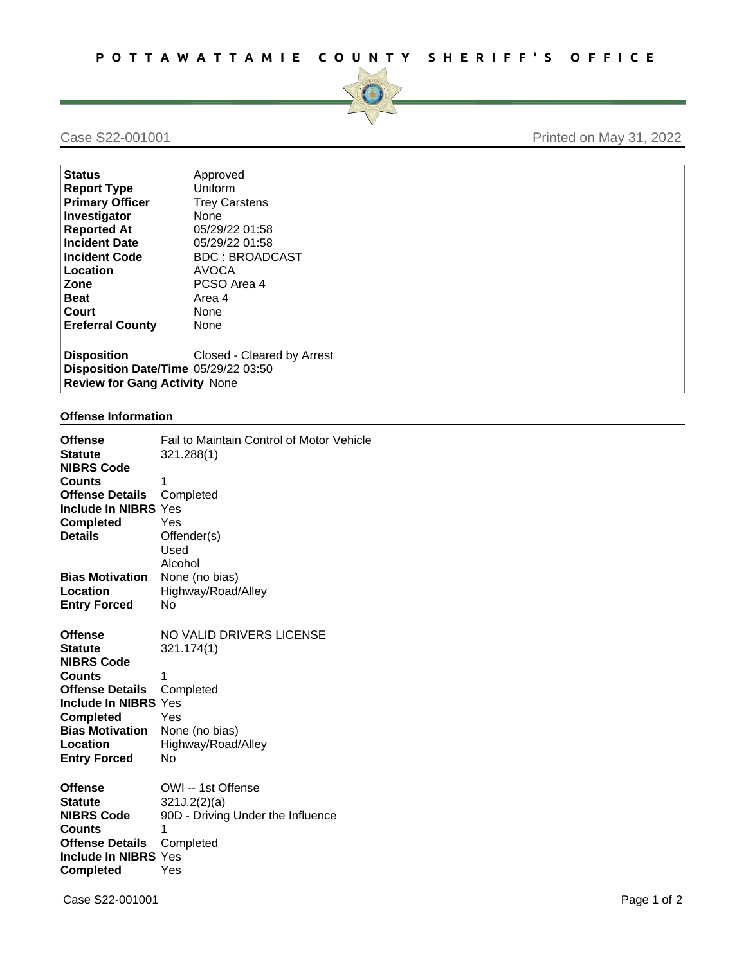

## Case S22-001001 Printed on May 31, 2022

| Status                                                                                      | Approved                   |
|---------------------------------------------------------------------------------------------|----------------------------|
| Report Type                                                                                 | Uniform                    |
| <b>Primary Officer</b>                                                                      | <b>Trey Carstens</b>       |
| Investigator                                                                                | <b>None</b>                |
| <b>Reported At</b>                                                                          | 05/29/22 01:58             |
| <b>Incident Date</b>                                                                        | 05/29/22 01:58             |
| Incident Code                                                                               | <b>BDC: BROADCAST</b>      |
| Location                                                                                    | <b>AVOCA</b>               |
| <b>Zone</b>                                                                                 | PCSO Area 4                |
| Beat                                                                                        | Area 4                     |
| ∣Court                                                                                      | <b>None</b>                |
| <b>Ereferral County</b>                                                                     | None                       |
| Disposition<br>Disposition Date/Time 05/29/22 03:50<br><b>Review for Gang Activity None</b> | Closed - Cleared by Arrest |
|                                                                                             |                            |

## **Offense Information**

| <b>Offense</b><br><b>Statute</b>   | Fail to Maintain Control of Motor Vehicle<br>321.288(1) |             |
|------------------------------------|---------------------------------------------------------|-------------|
| <b>NIBRS Code</b>                  |                                                         |             |
| <b>Counts</b>                      | 1                                                       |             |
| <b>Offense Details</b>             | Completed                                               |             |
| <b>Include In NIBRS Yes</b>        |                                                         |             |
| <b>Completed</b>                   | Yes                                                     |             |
| <b>Details</b>                     | Offender(s)                                             |             |
|                                    | Used                                                    |             |
|                                    | Alcohol                                                 |             |
| <b>Bias Motivation</b>             | None (no bias)                                          |             |
| Location                           | Highway/Road/Alley                                      |             |
| <b>Entry Forced</b>                | No                                                      |             |
|                                    |                                                         |             |
| <b>Offense</b>                     | NO VALID DRIVERS LICENSE                                |             |
| <b>Statute</b>                     | 321.174(1)                                              |             |
| <b>NIBRS Code</b>                  |                                                         |             |
| <b>Counts</b>                      | $\mathbf{1}$                                            |             |
| <b>Offense Details</b>             | Completed                                               |             |
| <b>Include In NIBRS Yes</b>        |                                                         |             |
| <b>Completed</b>                   | Yes                                                     |             |
| <b>Bias Motivation</b>             | None (no bias)                                          |             |
| Location                           | Highway/Road/Alley                                      |             |
| <b>Entry Forced</b>                | N <sub>0</sub>                                          |             |
|                                    |                                                         |             |
| <b>Offense</b><br><b>Statute</b>   | OWI -- 1st Offense                                      |             |
|                                    | 321J.2(2)(a)<br>90D - Driving Under the Influence       |             |
| <b>NIBRS Code</b><br><b>Counts</b> | $\mathbf{1}$                                            |             |
| <b>Offense Details</b>             | Completed                                               |             |
| <b>Include In NIBRS Yes</b>        |                                                         |             |
| <b>Completed</b>                   | Yes                                                     |             |
|                                    |                                                         |             |
| Case S22-001001                    |                                                         | Page 1 of 2 |